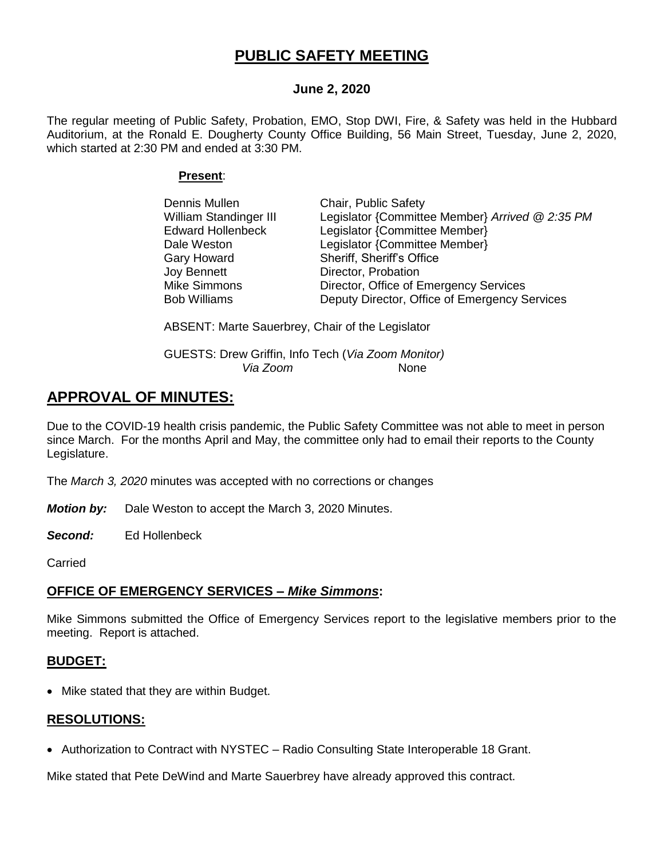# **PUBLIC SAFETY MEETING**

## **June 2, 2020**

The regular meeting of Public Safety, Probation, EMO, Stop DWI, Fire, & Safety was held in the Hubbard Auditorium, at the Ronald E. Dougherty County Office Building, 56 Main Street, Tuesday, June 2, 2020, which started at 2:30 PM and ended at 3:30 PM.

### **Present**:

| Dennis Mullen            | Chair, Public Safety                            |
|--------------------------|-------------------------------------------------|
| William Standinger III   | Legislator {Committee Member} Arrived @ 2:35 PM |
| <b>Edward Hollenbeck</b> | Legislator {Committee Member}                   |
| Dale Weston              | Legislator {Committee Member}                   |
| Gary Howard              | Sheriff, Sheriff's Office                       |
| Joy Bennett              | Director, Probation                             |
| Mike Simmons             | Director, Office of Emergency Services          |
| <b>Bob Williams</b>      | Deputy Director, Office of Emergency Services   |

ABSENT: Marte Sauerbrey, Chair of the Legislator

GUESTS: Drew Griffin, Info Tech (*Via Zoom Monitor) Via Zoom* None

# **APPROVAL OF MINUTES:**

Due to the COVID-19 health crisis pandemic, the Public Safety Committee was not able to meet in person since March. For the months April and May, the committee only had to email their reports to the County Legislature.

The *March 3, 2020* minutes was accepted with no corrections or changes

*Motion by:* Dale Weston to accept the March 3, 2020 Minutes.

*Second:* Ed Hollenbeck

**Carried** 

## **OFFICE OF EMERGENCY SERVICES –** *Mike Simmons***:**

Mike Simmons submitted the Office of Emergency Services report to the legislative members prior to the meeting. Report is attached.

## **BUDGET:**

• Mike stated that they are within Budget.

## **RESOLUTIONS:**

• Authorization to Contract with NYSTEC – Radio Consulting State Interoperable 18 Grant.

Mike stated that Pete DeWind and Marte Sauerbrey have already approved this contract.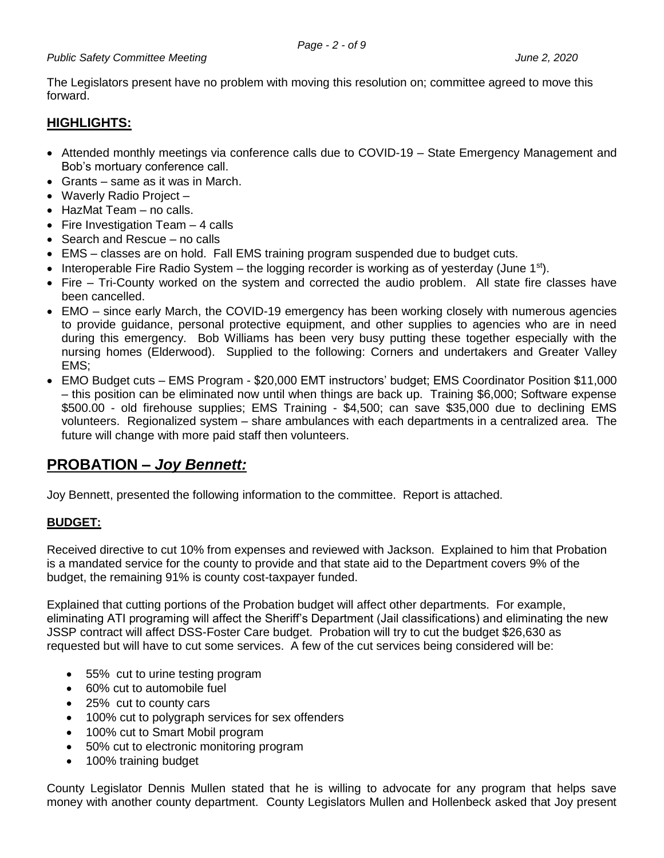The Legislators present have no problem with moving this resolution on; committee agreed to move this forward.

# **HIGHLIGHTS:**

- Attended monthly meetings via conference calls due to COVID-19 State Emergency Management and Bob's mortuary conference call.
- Grants same as it was in March.
- Waverly Radio Project -
- HazMat Team no calls.
- Fire Investigation Team  $-4$  calls
- Search and Rescue no calls
- EMS classes are on hold. Fall EMS training program suspended due to budget cuts.
- Interoperable Fire Radio System the logging recorder is working as of yesterday (June  $1<sup>st</sup>$ ).
- Fire Tri-County worked on the system and corrected the audio problem. All state fire classes have been cancelled.
- EMO since early March, the COVID-19 emergency has been working closely with numerous agencies to provide guidance, personal protective equipment, and other supplies to agencies who are in need during this emergency. Bob Williams has been very busy putting these together especially with the nursing homes (Elderwood). Supplied to the following: Corners and undertakers and Greater Valley EMS;
- EMO Budget cuts EMS Program \$20,000 EMT instructors' budget; EMS Coordinator Position \$11,000 – this position can be eliminated now until when things are back up. Training \$6,000; Software expense \$500.00 - old firehouse supplies; EMS Training - \$4,500; can save \$35,000 due to declining EMS volunteers. Regionalized system – share ambulances with each departments in a centralized area. The future will change with more paid staff then volunteers.

# **PROBATION –** *Joy Bennett:*

Joy Bennett, presented the following information to the committee. Report is attached.

## **BUDGET:**

Received directive to cut 10% from expenses and reviewed with Jackson. Explained to him that Probation is a mandated service for the county to provide and that state aid to the Department covers 9% of the budget, the remaining 91% is county cost-taxpayer funded.

Explained that cutting portions of the Probation budget will affect other departments. For example, eliminating ATI programing will affect the Sheriff's Department (Jail classifications) and eliminating the new JSSP contract will affect DSS-Foster Care budget. Probation will try to cut the budget \$26,630 as requested but will have to cut some services. A few of the cut services being considered will be:

- 55% cut to urine testing program
- 60% cut to automobile fuel
- 25% cut to county cars
- 100% cut to polygraph services for sex offenders
- 100% cut to Smart Mobil program
- 50% cut to electronic monitoring program
- 100% training budget

County Legislator Dennis Mullen stated that he is willing to advocate for any program that helps save money with another county department. County Legislators Mullen and Hollenbeck asked that Joy present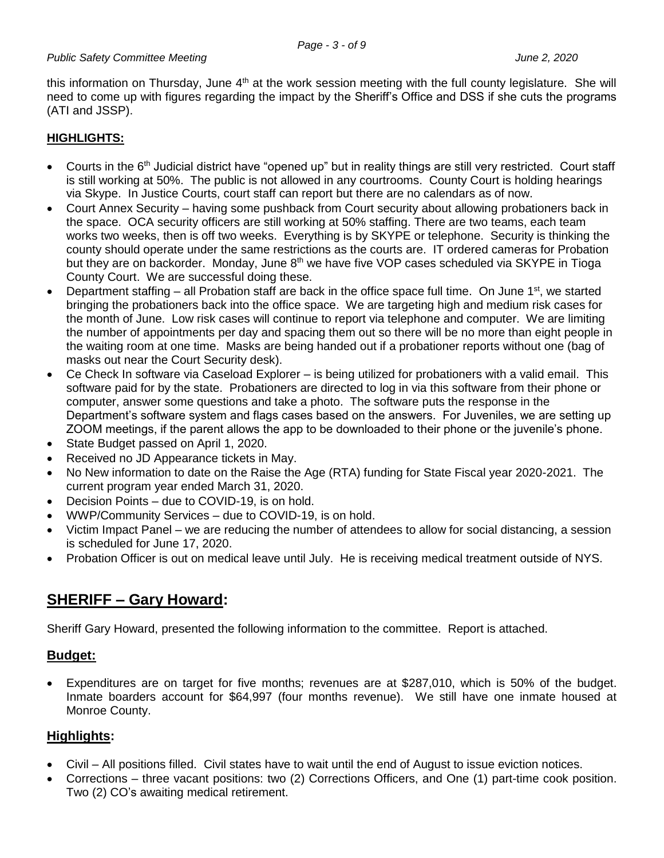this information on Thursday, June  $4<sup>th</sup>$  at the work session meeting with the full county legislature. She will need to come up with figures regarding the impact by the Sheriff's Office and DSS if she cuts the programs (ATI and JSSP).

## **HIGHLIGHTS:**

- Courts in the 6<sup>th</sup> Judicial district have "opened up" but in reality things are still very restricted. Court staff is still working at 50%. The public is not allowed in any courtrooms. County Court is holding hearings via Skype. In Justice Courts, court staff can report but there are no calendars as of now.
- Court Annex Security having some pushback from Court security about allowing probationers back in the space. OCA security officers are still working at 50% staffing. There are two teams, each team works two weeks, then is off two weeks. Everything is by SKYPE or telephone. Security is thinking the county should operate under the same restrictions as the courts are. IT ordered cameras for Probation but they are on backorder. Monday, June  $8<sup>th</sup>$  we have five VOP cases scheduled via SKYPE in Tioga County Court. We are successful doing these.
- Department staffing all Probation staff are back in the office space full time. On June  $1<sup>st</sup>$ , we started bringing the probationers back into the office space. We are targeting high and medium risk cases for the month of June. Low risk cases will continue to report via telephone and computer. We are limiting the number of appointments per day and spacing them out so there will be no more than eight people in the waiting room at one time. Masks are being handed out if a probationer reports without one (bag of masks out near the Court Security desk).
- Ce Check In software via Caseload Explorer is being utilized for probationers with a valid email. This software paid for by the state. Probationers are directed to log in via this software from their phone or computer, answer some questions and take a photo. The software puts the response in the Department's software system and flags cases based on the answers. For Juveniles, we are setting up ZOOM meetings, if the parent allows the app to be downloaded to their phone or the juvenile's phone.
- State Budget passed on April 1, 2020.
- Received no JD Appearance tickets in May.
- No New information to date on the Raise the Age (RTA) funding for State Fiscal year 2020-2021. The current program year ended March 31, 2020.
- Decision Points due to COVID-19, is on hold.
- WWP/Community Services due to COVID-19, is on hold.
- Victim Impact Panel we are reducing the number of attendees to allow for social distancing, a session is scheduled for June 17, 2020.
- Probation Officer is out on medical leave until July. He is receiving medical treatment outside of NYS.

# **SHERIFF – Gary Howard:**

Sheriff Gary Howard, presented the following information to the committee. Report is attached.

## **Budget:**

 Expenditures are on target for five months; revenues are at \$287,010, which is 50% of the budget. Inmate boarders account for \$64,997 (four months revenue). We still have one inmate housed at Monroe County.

## **Highlights:**

- Civil All positions filled. Civil states have to wait until the end of August to issue eviction notices.
- Corrections three vacant positions: two (2) Corrections Officers, and One (1) part-time cook position. Two (2) CO's awaiting medical retirement.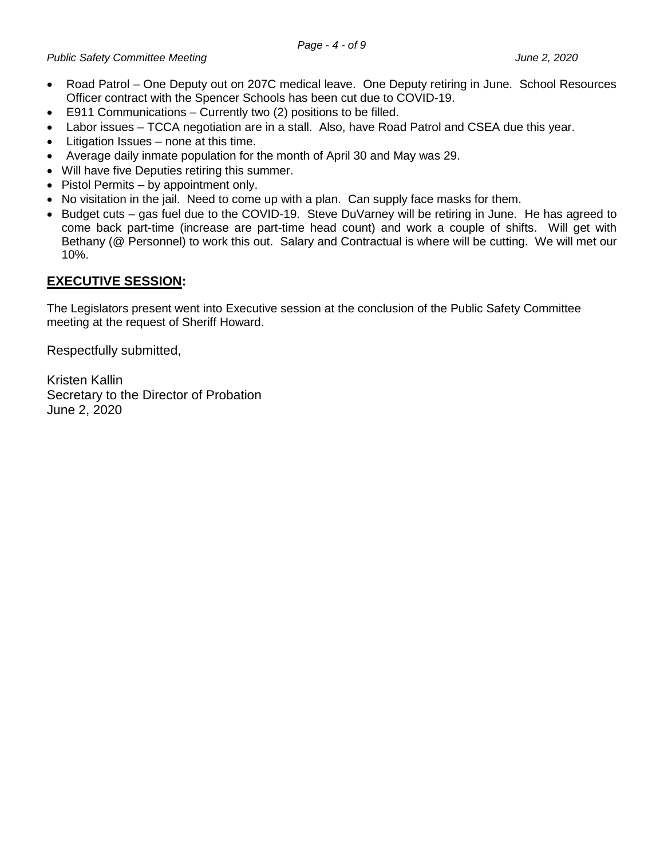- Road Patrol One Deputy out on 207C medical leave. One Deputy retiring in June. School Resources Officer contract with the Spencer Schools has been cut due to COVID-19.
- E911 Communications Currently two (2) positions to be filled.
- Labor issues TCCA negotiation are in a stall. Also, have Road Patrol and CSEA due this year.
- Litigation Issues none at this time.
- Average daily inmate population for the month of April 30 and May was 29.
- Will have five Deputies retiring this summer.
- Pistol Permits by appointment only.
- No visitation in the jail. Need to come up with a plan. Can supply face masks for them.
- Budget cuts gas fuel due to the COVID-19. Steve DuVarney will be retiring in June. He has agreed to come back part-time (increase are part-time head count) and work a couple of shifts. Will get with Bethany (@ Personnel) to work this out. Salary and Contractual is where will be cutting. We will met our 10%.

## **EXECUTIVE SESSION:**

The Legislators present went into Executive session at the conclusion of the Public Safety Committee meeting at the request of Sheriff Howard.

Respectfully submitted,

Kristen Kallin Secretary to the Director of Probation June 2, 2020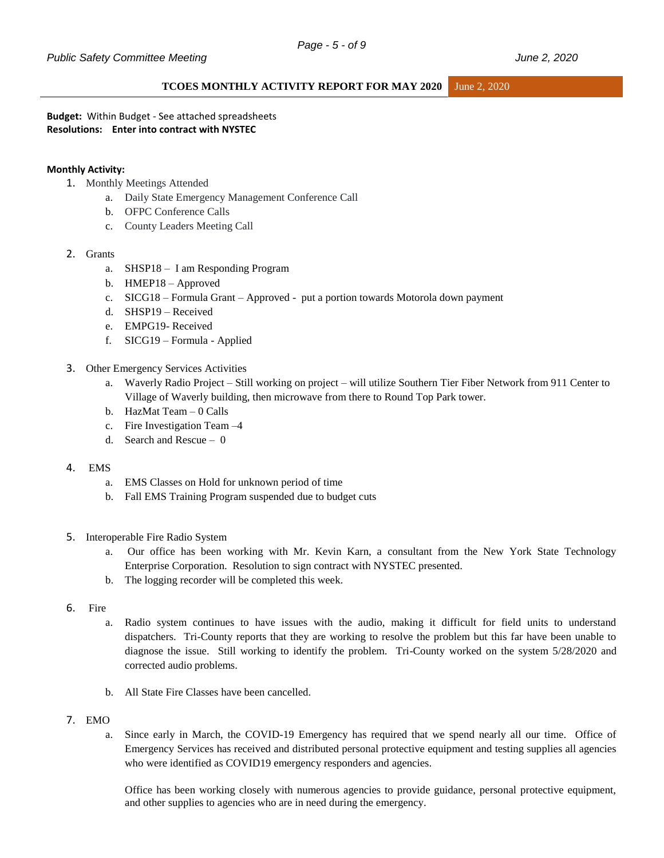#### **TCOES MONTHLY ACTIVITY REPORT FOR MAY 2020** June 2, 2020

**Budget:** Within Budget - See attached spreadsheets **Resolutions: Enter into contract with NYSTEC**

#### **Monthly Activity:**

- 1. Monthly Meetings Attended
	- a. Daily State Emergency Management Conference Call
	- b. OFPC Conference Calls
	- c. County Leaders Meeting Call

#### 2. Grants

- a. SHSP18 I am Responding Program
- b. HMEP18 Approved
- c. SICG18 Formula Grant Approved put a portion towards Motorola down payment
- d. SHSP19 Received
- e. EMPG19- Received
- f. SICG19 Formula Applied
- 3. Other Emergency Services Activities
	- a. Waverly Radio Project Still working on project will utilize Southern Tier Fiber Network from 911 Center to Village of Waverly building, then microwave from there to Round Top Park tower.
	- b. HazMat Team 0 Calls
	- c. Fire Investigation Team –4
	- d. Search and Rescue 0
- 4. EMS
	- a. EMS Classes on Hold for unknown period of time
	- b. Fall EMS Training Program suspended due to budget cuts
- 5. Interoperable Fire Radio System
	- a. Our office has been working with Mr. Kevin Karn, a consultant from the New York State Technology Enterprise Corporation. Resolution to sign contract with NYSTEC presented.
	- b. The logging recorder will be completed this week.
- 6. Fire
	- a. Radio system continues to have issues with the audio, making it difficult for field units to understand dispatchers. Tri-County reports that they are working to resolve the problem but this far have been unable to diagnose the issue. Still working to identify the problem. Tri-County worked on the system 5/28/2020 and corrected audio problems.
	- b. All State Fire Classes have been cancelled.
- 7. EMO
	- a. Since early in March, the COVID-19 Emergency has required that we spend nearly all our time. Office of Emergency Services has received and distributed personal protective equipment and testing supplies all agencies who were identified as COVID19 emergency responders and agencies.

Office has been working closely with numerous agencies to provide guidance, personal protective equipment, and other supplies to agencies who are in need during the emergency.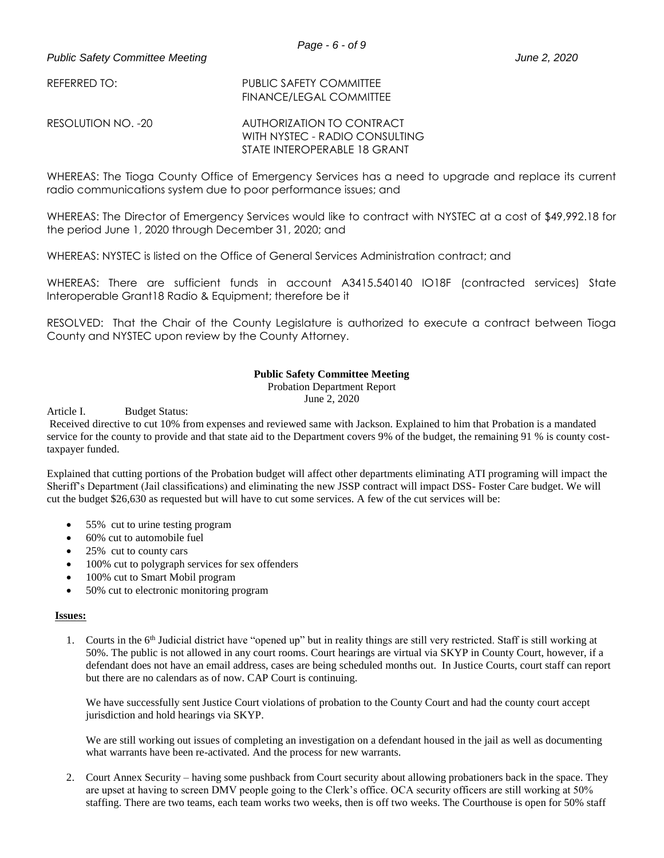REFERRED TO: PUBLIC SAFETY COMMITTEE FINANCE/LEGAL COMMITTEE

RESOLUTION NO. -20 AUTHORIZATION TO CONTRACT WITH NYSTEC - RADIO CONSULTING STATE INTEROPERABLE 18 GRANT

WHEREAS: The Tioga County Office of Emergency Services has a need to upgrade and replace its current radio communications system due to poor performance issues; and

WHEREAS: The Director of Emergency Services would like to contract with NYSTEC at a cost of \$49,992.18 for the period June 1, 2020 through December 31, 2020; and

WHEREAS: NYSTEC is listed on the Office of General Services Administration contract; and

WHEREAS: There are sufficient funds in account A3415.540140 IO18F (contracted services) State Interoperable Grant18 Radio & Equipment; therefore be it

RESOLVED: That the Chair of the County Legislature is authorized to execute a contract between Tioga County and NYSTEC upon review by the County Attorney.

#### **Public Safety Committee Meeting**

Probation Department Report

June 2, 2020

Article I. Budget Status:

Received directive to cut 10% from expenses and reviewed same with Jackson. Explained to him that Probation is a mandated service for the county to provide and that state aid to the Department covers 9% of the budget, the remaining 91 % is county costtaxpayer funded.

Explained that cutting portions of the Probation budget will affect other departments eliminating ATI programing will impact the Sheriff's Department (Jail classifications) and eliminating the new JSSP contract will impact DSS- Foster Care budget. We will cut the budget \$26,630 as requested but will have to cut some services. A few of the cut services will be:

- 55% cut to urine testing program
- 60% cut to automobile fuel
- 25% cut to county cars
- 100% cut to polygraph services for sex offenders
- 100% cut to Smart Mobil program
- 50% cut to electronic monitoring program

#### **Issues:**

1. Courts in the  $6<sup>th</sup>$  Judicial district have "opened up" but in reality things are still very restricted. Staff is still working at 50%. The public is not allowed in any court rooms. Court hearings are virtual via SKYP in County Court, however, if a defendant does not have an email address, cases are being scheduled months out. In Justice Courts, court staff can report but there are no calendars as of now. CAP Court is continuing.

We have successfully sent Justice Court violations of probation to the County Court and had the county court accept jurisdiction and hold hearings via SKYP.

We are still working out issues of completing an investigation on a defendant housed in the jail as well as documenting what warrants have been re-activated. And the process for new warrants.

2. Court Annex Security – having some pushback from Court security about allowing probationers back in the space. They are upset at having to screen DMV people going to the Clerk's office. OCA security officers are still working at 50% staffing. There are two teams, each team works two weeks, then is off two weeks. The Courthouse is open for 50% staff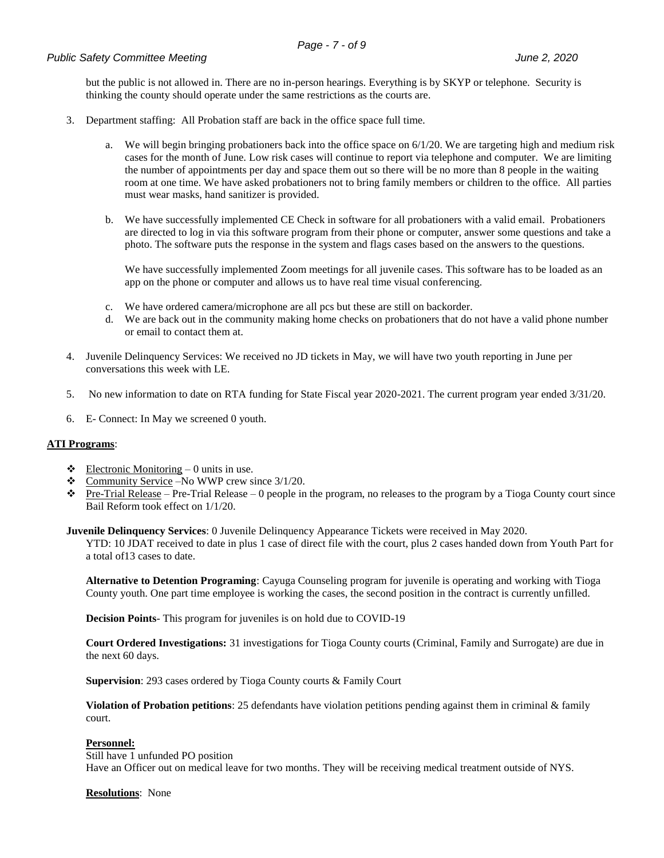but the public is not allowed in. There are no in-person hearings. Everything is by SKYP or telephone. Security is thinking the county should operate under the same restrictions as the courts are.

- 3. Department staffing: All Probation staff are back in the office space full time.
	- a. We will begin bringing probationers back into the office space on  $6/1/20$ . We are targeting high and medium risk cases for the month of June. Low risk cases will continue to report via telephone and computer. We are limiting the number of appointments per day and space them out so there will be no more than 8 people in the waiting room at one time. We have asked probationers not to bring family members or children to the office. All parties must wear masks, hand sanitizer is provided.
	- b. We have successfully implemented CE Check in software for all probationers with a valid email. Probationers are directed to log in via this software program from their phone or computer, answer some questions and take a photo. The software puts the response in the system and flags cases based on the answers to the questions.

We have successfully implemented Zoom meetings for all juvenile cases. This software has to be loaded as an app on the phone or computer and allows us to have real time visual conferencing.

- c. We have ordered camera/microphone are all pcs but these are still on backorder.
- d. We are back out in the community making home checks on probationers that do not have a valid phone number or email to contact them at.
- 4. Juvenile Delinquency Services: We received no JD tickets in May, we will have two youth reporting in June per conversations this week with LE.
- 5. No new information to date on RTA funding for State Fiscal year 2020-2021. The current program year ended 3/31/20.
- 6. E- Connect: In May we screened 0 youth.

#### **ATI Programs**:

- $\triangleleft$  Electronic Monitoring 0 units in use.
- $\text{\textcircled{t}}$  Community Service –No WWP crew since 3/1/20.
- $\bullet$  Pre-Trial Release Pre-Trial Release 0 people in the program, no releases to the program by a Tioga County court since Bail Reform took effect on 1/1/20.

**Juvenile Delinquency Services**: 0 Juvenile Delinquency Appearance Tickets were received in May 2020.

YTD: 10 JDAT received to date in plus 1 case of direct file with the court, plus 2 cases handed down from Youth Part for a total of13 cases to date.

**Alternative to Detention Programing**: Cayuga Counseling program for juvenile is operating and working with Tioga County youth. One part time employee is working the cases, the second position in the contract is currently unfilled.

**Decision Points**- This program for juveniles is on hold due to COVID-19

**Court Ordered Investigations:** 31 investigations for Tioga County courts (Criminal, Family and Surrogate) are due in the next 60 days.

**Supervision**: 293 cases ordered by Tioga County courts & Family Court

**Violation of Probation petitions**: 25 defendants have violation petitions pending against them in criminal & family court.

#### **Personnel:**

Still have 1 unfunded PO position Have an Officer out on medical leave for two months. They will be receiving medical treatment outside of NYS.

**Resolutions**: None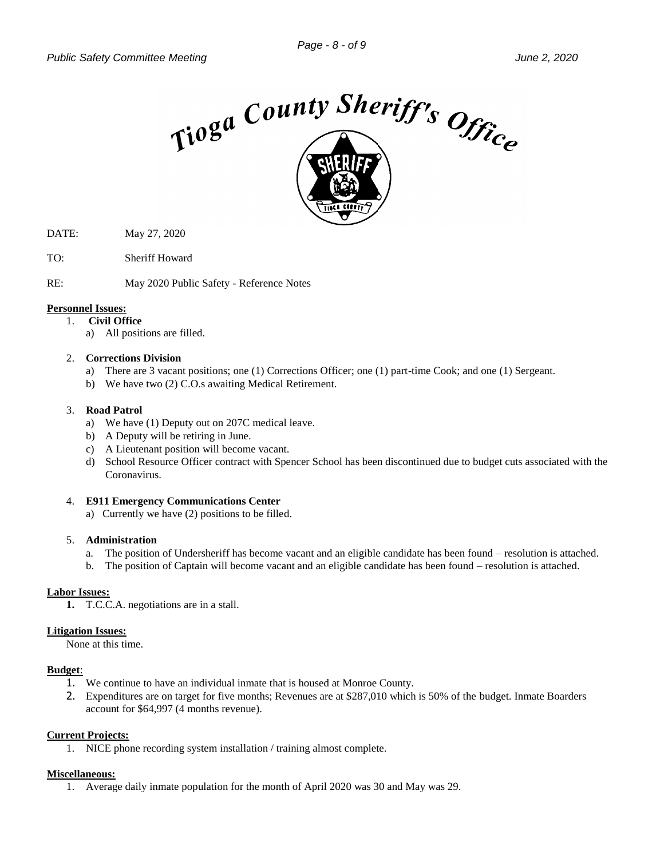

- DATE: May 27, 2020
- TO: Sheriff Howard
- RE: May 2020 Public Safety Reference Notes

#### **Personnel Issues:**

#### 1. **Civil Office**

a) All positions are filled.

#### 2. **Corrections Division**

- a) There are 3 vacant positions; one (1) Corrections Officer; one (1) part-time Cook; and one (1) Sergeant.
- b) We have two (2) C.O.s awaiting Medical Retirement.

#### 3. **Road Patrol**

- a) We have (1) Deputy out on 207C medical leave.
- b) A Deputy will be retiring in June.
- c) A Lieutenant position will become vacant.
- d) School Resource Officer contract with Spencer School has been discontinued due to budget cuts associated with the Coronavirus.

#### 4. **E911 Emergency Communications Center**

a)Currently we have (2) positions to be filled.

#### 5. **Administration**

- a. The position of Undersheriff has become vacant and an eligible candidate has been found resolution is attached.
- b. The position of Captain will become vacant and an eligible candidate has been found resolution is attached.

#### **Labor Issues:**

**1.** T.C.C.A. negotiations are in a stall.

#### **Litigation Issues:**

None at this time.

#### **Budget**:

- 1. We continue to have an individual inmate that is housed at Monroe County.
- 2. Expenditures are on target for five months; Revenues are at \$287,010 which is 50% of the budget. Inmate Boarders account for \$64,997 (4 months revenue).

#### **Current Projects:**

1. NICE phone recording system installation / training almost complete.

#### **Miscellaneous:**

1. Average daily inmate population for the month of April 2020 was 30 and May was 29.